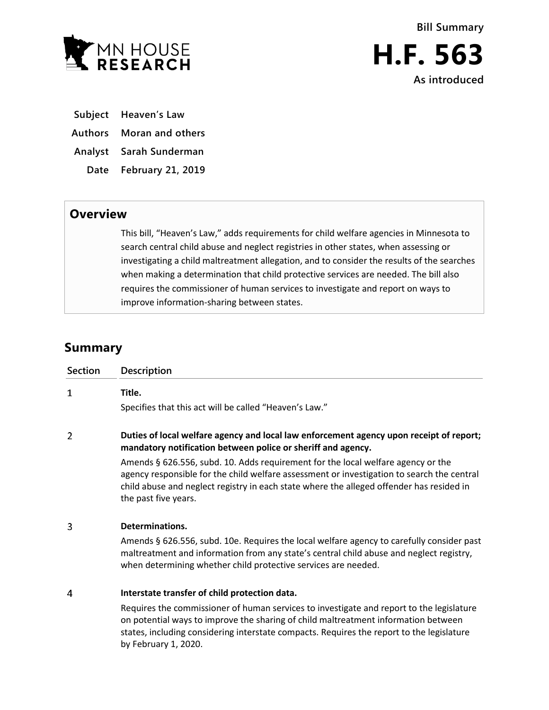

- **Subject Heaven's Law**
- **Authors Moran and others**

**Analyst Sarah Sunderman**

**Date February 21, 2019**

## **Overview**

This bill, "Heaven's Law," adds requirements for child welfare agencies in Minnesota to search central child abuse and neglect registries in other states, when assessing or investigating a child maltreatment allegation, and to consider the results of the searches when making a determination that child protective services are needed. The bill also requires the commissioner of human services to investigate and report on ways to improve information-sharing between states.

## **Summary**

| <b>Section</b> | <b>Description</b>                                                                                                                                                                                                                                                                                  |
|----------------|-----------------------------------------------------------------------------------------------------------------------------------------------------------------------------------------------------------------------------------------------------------------------------------------------------|
| $\mathbf{1}$   | Title.                                                                                                                                                                                                                                                                                              |
|                | Specifies that this act will be called "Heaven's Law."                                                                                                                                                                                                                                              |
| $\overline{2}$ | Duties of local welfare agency and local law enforcement agency upon receipt of report;<br>mandatory notification between police or sheriff and agency.                                                                                                                                             |
|                | Amends § 626.556, subd. 10. Adds requirement for the local welfare agency or the<br>agency responsible for the child welfare assessment or investigation to search the central<br>child abuse and neglect registry in each state where the alleged offender has resided in<br>the past five years.  |
| 3              | Determinations.                                                                                                                                                                                                                                                                                     |
|                | Amends § 626.556, subd. 10e. Requires the local welfare agency to carefully consider past<br>maltreatment and information from any state's central child abuse and neglect registry,<br>when determining whether child protective services are needed.                                              |
| 4              | Interstate transfer of child protection data.                                                                                                                                                                                                                                                       |
|                | Requires the commissioner of human services to investigate and report to the legislature<br>on potential ways to improve the sharing of child maltreatment information between<br>states, including considering interstate compacts. Requires the report to the legislature<br>by February 1, 2020. |